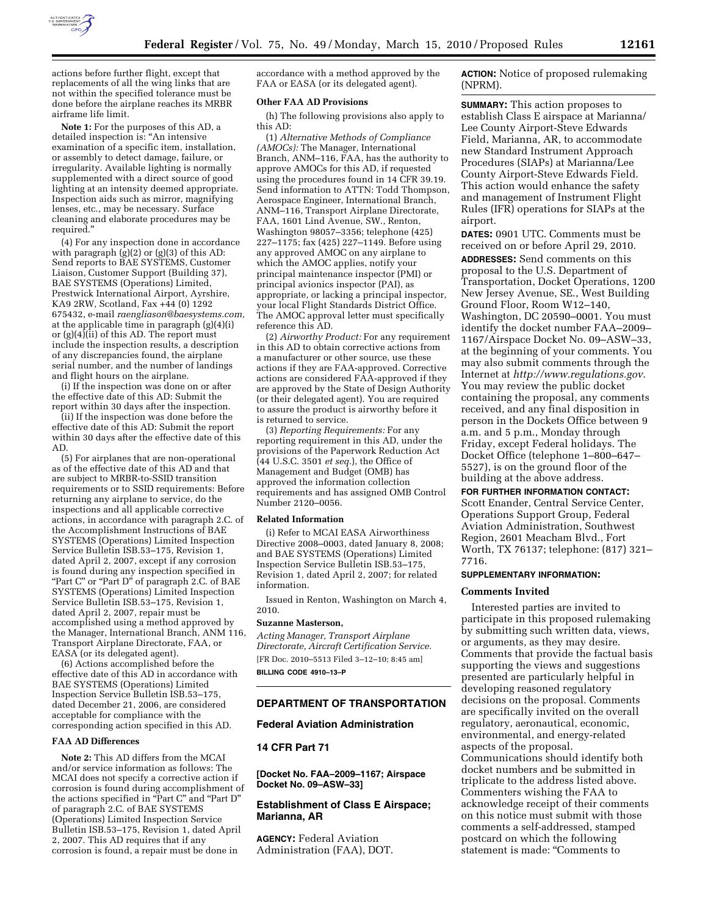

actions before further flight, except that replacements of all the wing links that are not within the specified tolerance must be done before the airplane reaches its MRBR airframe life limit.

**Note 1:** For the purposes of this AD, a detailed inspection is: ''An intensive examination of a specific item, installation, or assembly to detect damage, failure, or irregularity. Available lighting is normally supplemented with a direct source of good lighting at an intensity deemed appropriate. Inspection aids such as mirror, magnifying lenses, etc., may be necessary. Surface cleaning and elaborate procedures may be required.''

(4) For any inspection done in accordance with paragraph  $(g)(2)$  or  $(g)(3)$  of this AD: Send reports to BAE SYSTEMS, Customer Liaison, Customer Support (Building 37), BAE SYSTEMS (Operations) Limited, Prestwick International Airport, Ayrshire, KA9 2RW, Scotland, Fax +44 (0) 1292 675432, e-mail *raengliason@baesystems.com,*  at the applicable time in paragraph (g)(4)(i) or  $(g)(4)$ (ii) of this AD. The report must include the inspection results, a description of any discrepancies found, the airplane serial number, and the number of landings and flight hours on the airplane.

(i) If the inspection was done on or after the effective date of this AD: Submit the report within 30 days after the inspection.

(ii) If the inspection was done before the effective date of this AD: Submit the report within 30 days after the effective date of this AD.

(5) For airplanes that are non-operational as of the effective date of this AD and that are subject to MRBR-to-SSID transition requirements or to SSID requirements: Before returning any airplane to service, do the inspections and all applicable corrective actions, in accordance with paragraph 2.C. of the Accomplishment Instructions of BAE SYSTEMS (Operations) Limited Inspection Service Bulletin ISB.53–175, Revision 1, dated April 2, 2007, except if any corrosion is found during any inspection specified in "Part C" or "Part D" of paragraph 2.C. of BAE SYSTEMS (Operations) Limited Inspection Service Bulletin ISB.53–175, Revision 1, dated April 2, 2007, repair must be accomplished using a method approved by the Manager, International Branch, ANM 116, Transport Airplane Directorate, FAA, or EASA (or its delegated agent).

(6) Actions accomplished before the effective date of this AD in accordance with BAE SYSTEMS (Operations) Limited Inspection Service Bulletin ISB.53–175, dated December 21, 2006, are considered acceptable for compliance with the corresponding action specified in this AD.

### **FAA AD Differences**

**Note 2:** This AD differs from the MCAI and/or service information as follows: The MCAI does not specify a corrective action if corrosion is found during accomplishment of the actions specified in ''Part C'' and ''Part D'' of paragraph 2.C. of BAE SYSTEMS (Operations) Limited Inspection Service Bulletin ISB.53–175, Revision 1, dated April 2, 2007. This AD requires that if any corrosion is found, a repair must be done in

accordance with a method approved by the FAA or EASA (or its delegated agent).

### **Other FAA AD Provisions**

(h) The following provisions also apply to this AD:

(1) *Alternative Methods of Compliance (AMOCs):* The Manager, International Branch, ANM–116, FAA, has the authority to approve AMOCs for this AD, if requested using the procedures found in 14 CFR 39.19. Send information to ATTN: Todd Thompson, Aerospace Engineer, International Branch, ANM–116, Transport Airplane Directorate, FAA, 1601 Lind Avenue, SW., Renton, Washington 98057–3356; telephone (425) 227–1175; fax (425) 227–1149. Before using any approved AMOC on any airplane to which the AMOC applies, notify your principal maintenance inspector (PMI) or principal avionics inspector (PAI), as appropriate, or lacking a principal inspector, your local Flight Standards District Office. The AMOC approval letter must specifically reference this AD.

(2) *Airworthy Product:* For any requirement in this AD to obtain corrective actions from a manufacturer or other source, use these actions if they are FAA-approved. Corrective actions are considered FAA-approved if they are approved by the State of Design Authority (or their delegated agent). You are required to assure the product is airworthy before it is returned to service.

(3) *Reporting Requirements:* For any reporting requirement in this AD, under the provisions of the Paperwork Reduction Act (44 U.S.C. 3501 *et seq.*), the Office of Management and Budget (OMB) has approved the information collection requirements and has assigned OMB Control Number 2120–0056.

## **Related Information**

(i) Refer to MCAI EASA Airworthiness Directive 2008–0003, dated January 8, 2008; and BAE SYSTEMS (Operations) Limited Inspection Service Bulletin ISB.53–175, Revision 1, dated April 2, 2007; for related information.

Issued in Renton, Washington on March 4, 2010.

### **Suzanne Masterson,**

*Acting Manager, Transport Airplane Directorate, Aircraft Certification Service.*  [FR Doc. 2010–5513 Filed 3–12–10; 8:45 am] **BILLING CODE 4910–13–P** 

# **DEPARTMENT OF TRANSPORTATION**

### **Federal Aviation Administration**

# **14 CFR Part 71**

**[Docket No. FAA–2009–1167; Airspace Docket No. 09–ASW–33]** 

## **Establishment of Class E Airspace; Marianna, AR**

**AGENCY:** Federal Aviation Administration (FAA), DOT. **ACTION:** Notice of proposed rulemaking (NPRM).

**SUMMARY:** This action proposes to establish Class E airspace at Marianna/ Lee County Airport-Steve Edwards Field, Marianna, AR, to accommodate new Standard Instrument Approach Procedures (SIAPs) at Marianna/Lee County Airport-Steve Edwards Field. This action would enhance the safety and management of Instrument Flight Rules (IFR) operations for SIAPs at the airport.

**DATES:** 0901 UTC. Comments must be received on or before April 29, 2010.

**ADDRESSES:** Send comments on this proposal to the U.S. Department of Transportation, Docket Operations, 1200 New Jersey Avenue, SE., West Building Ground Floor, Room W12–140, Washington, DC 20590–0001. You must identify the docket number FAA–2009– 1167/Airspace Docket No. 09–ASW–33, at the beginning of your comments. You may also submit comments through the Internet at *http://www.regulations.gov*. You may review the public docket containing the proposal, any comments received, and any final disposition in person in the Dockets Office between 9 a.m. and 5 p.m., Monday through Friday, except Federal holidays. The Docket Office (telephone 1–800–647– 5527), is on the ground floor of the building at the above address.

# **FOR FURTHER INFORMATION CONTACT:**

Scott Enander, Central Service Center, Operations Support Group, Federal Aviation Administration, Southwest Region, 2601 Meacham Blvd., Fort Worth, TX 76137; telephone: (817) 321– 7716.

#### **SUPPLEMENTARY INFORMATION:**

#### **Comments Invited**

Interested parties are invited to participate in this proposed rulemaking by submitting such written data, views, or arguments, as they may desire. Comments that provide the factual basis supporting the views and suggestions presented are particularly helpful in developing reasoned regulatory decisions on the proposal. Comments are specifically invited on the overall regulatory, aeronautical, economic, environmental, and energy-related aspects of the proposal. Communications should identify both docket numbers and be submitted in triplicate to the address listed above. Commenters wishing the FAA to acknowledge receipt of their comments on this notice must submit with those comments a self-addressed, stamped postcard on which the following

statement is made: ''Comments to